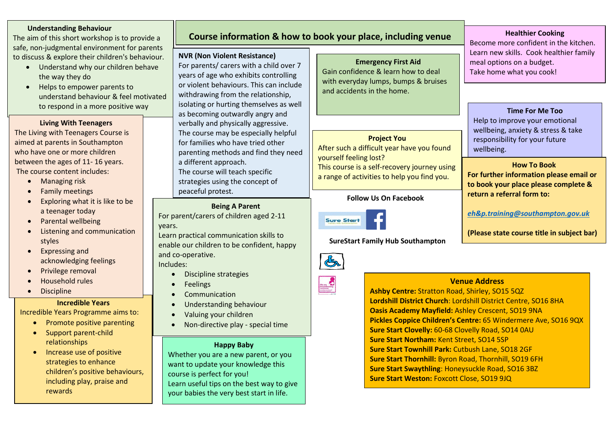#### **Understanding Behaviour**

The aim of this short workshop is to provide a safe, non-judgmental environment for parents to discuss & explore their children's behaviour.

- Understand why our children behave the way they do
- Helps to empower parents to understand behaviour & feel motivated to respond in a more positive way

**Living With Teenagers**

The Living with Teenagers Course is aimed at parents in Southampton who have one or more children between the ages of 11- 16 years. The course content includes:

- Managing risk
- **•** Family meetings
- Exploring what it is like to be a teenager today
- Parental wellbeing
- Listening and communication styles
- Expressing and acknowledging feelings
- Privilege removal
- Household rules
- **•** Discipline

#### **Incredible Years**

Incredible Years Programme aims to:

- Promote positive parenting
- Support parent-child relationships
- Increase use of positive strategies to enhance children's positive behaviours, including play, praise and rewards

# **Course information & how to book your place, including venue address**

#### **NVR (Non Violent Resistance)**

 years of age who exhibits controlling For parents/ carers with a child over 7 or violent behaviours. This can include withdrawing from the relationship, isolating or hurting themselves as well as becoming outwardly angry and verbally and physically aggressive. The course may be especially helpful for families who have tried other parenting methods and find they need a different approach. The course will teach specific strategies using the concept of peaceful protest.

#### **Being A Parent**

For parent/carers of children aged 2-11 years.

Learn practical communication skills to enable our children to be confident, happy and co-operative.

Includes:

- Discipline strategies
- **•** Feelings
- Communication
- Understanding behaviour
- Valuing your children
- Non-directive play special time

## **Happy Baby**

Whether you are a new parent, or you want to update your knowledge this course is perfect for you! Learn useful tips on the best way to give your babies the very best start in life.

**Emergency First Aid** Gain confidence & learn how to deal with everyday lumps, bumps & bruises and accidents in the home.

## **Project You**

After such a difficult year have you found yourself feeling lost? This course is a self-recovery journey using a range of activities to help you find you.

### **Follow Us On Facebook**



 **SureStart Family Hub Southampton**





**Ashby Centre:** Stratton Road, Shirley, SO15 5QZ **Lordshill District Church**: Lordshill District Centre, SO16 8HA **Oasis Academy Mayfield:** Ashley Crescent, SO19 9NA **Pickles Coppice Children's Centre:** 65 Windermere Ave, SO16 9QX **Sure Start Clovelly:** 60-68 Clovelly Road, SO14 0AU **Sure Start Northam:** Kent Street, SO14 5SP **Sure Start Townhill Park:** Cutbush Lane, SO18 2GF **Sure Start Thornhill:** Byron Road, Thornhill, SO19 6FH **Sure Start Swaythling**: Honeysuckle Road, SO16 3BZ **Sure Start Weston:** Foxcott Close, SO19 9JQ

**Healthier Cooking** Become more confident in the kitchen. Learn new skills. Cook healthier family meal options on a budget. Take home what you cook!

**Time For Me Too** Help to improve your emotional wellbeing, anxiety & stress & take responsibility for your future wellbeing.

**How To Book For further information please email or to book your place please complete & return a referral form to:**

*[eh&p.training@southampton.gov.uk](mailto:eh&p.training@southampton.gov.uk)*

**(Please state course title in subject bar)**